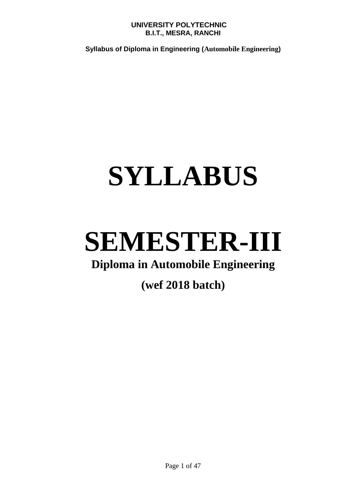**Syllabus of Diploma in Engineering (Automobile Engineering)** 

# **SYLLABUS**

# **SEMESTER-III**

# **Diploma in Automobile Engineering**

# **(wef 2018 batch)**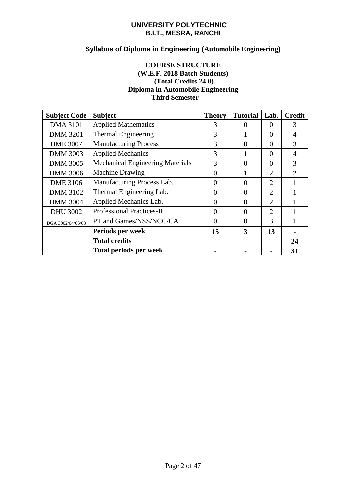# **Syllabus of Diploma in Engineering (Automobile Engineering)**

# **COURSE STRUCTURE (W.E.F. 2018 Batch Students) (Total Credits 24.0) Diploma in Automobile Engineering Third Semester**

| <b>Subject Code</b> | <b>Subject</b>                          | <b>Theory</b> | <b>Tutorial</b> | Lab.                        | <b>Credit</b> |
|---------------------|-----------------------------------------|---------------|-----------------|-----------------------------|---------------|
| <b>DMA 3101</b>     | <b>Applied Mathematics</b>              | 3             |                 | $\Omega$                    | 3             |
| <b>DMM 3201</b>     | <b>Thermal Engineering</b>              | 3             |                 | $\theta$                    |               |
| <b>DME 3007</b>     | <b>Manufacturing Process</b>            | 3             | 0               | $\Omega$                    | 3             |
| <b>DMM 3003</b>     | <b>Applied Mechanics</b>                | 3             |                 | $\theta$                    |               |
| <b>DMM 3005</b>     | <b>Mechanical Engineering Materials</b> | 3             | $\mathbf{0}$    | $\theta$                    | 3             |
| <b>DMM 3006</b>     | <b>Machine Drawing</b>                  | $\theta$      |                 | $\overline{2}$              | $\mathcal{D}$ |
| <b>DME 3106</b>     | Manufacturing Process Lab.              | $\theta$      | 0               | $\overline{2}$              |               |
| <b>DMM 3102</b>     | Thermal Engineering Lab.                | $\Omega$      | 0               | $\overline{2}$              |               |
| <b>DMM 3004</b>     | Applied Mechanics Lab.                  | $\theta$      | $\Omega$        | $\mathcal{D}_{\mathcal{L}}$ |               |
| <b>DHU 3002</b>     | <b>Professional Practices-II</b>        | $\Omega$      | $\Omega$        | $\overline{2}$              |               |
| DGA 3002/04/06/08   | PT and Games/NSS/NCC/CA                 | $\Omega$      | $\Omega$        | 3                           |               |
|                     | Periods per week                        | 15            | 3               | 13                          |               |
|                     | <b>Total credits</b>                    |               |                 |                             | 24            |
|                     | <b>Total periods per week</b>           |               |                 |                             | 31            |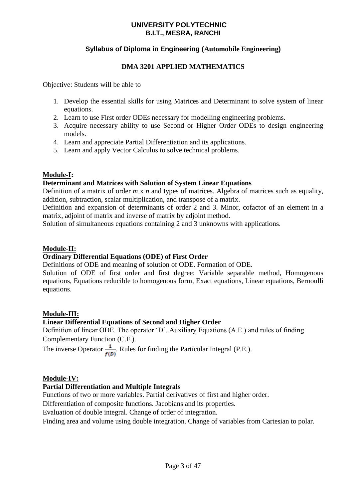# **Syllabus of Diploma in Engineering (Automobile Engineering)**

# **DMA 3201 APPLIED MATHEMATICS**

Objective: Students will be able to

- 1. Develop the essential skills for using Matrices and Determinant to solve system of linear equations.
- 2. Learn to use First order ODEs necessary for modelling engineering problems.
- 3. Acquire necessary ability to use Second or Higher Order ODEs to design engineering models.
- 4. Learn and appreciate Partial Differentiation and its applications.
- 5. Learn and apply Vector Calculus to solve technical problems.

# **Module-I:**

### **Determinant and Matrices with Solution of System Linear Equations**

Definition of a matrix of order *m* x *n* and types of matrices. Algebra of matrices such as equality, addition, subtraction, scalar multiplication, and transpose of a matrix.

Definition and expansion of determinants of order 2 and 3. Minor, cofactor of an element in a matrix, adjoint of matrix and inverse of matrix by adjoint method.

Solution of simultaneous equations containing 2 and 3 unknowns with applications.

### **Module-II:**

# **Ordinary Differential Equations (ODE) of First Order**

Definitions of ODE and meaning of solution of ODE. Formation of ODE.

Solution of ODE of first order and first degree: Variable separable method, Homogenous equations, Equations reducible to homogenous form, Exact equations, Linear equations, Bernoulli equations.

### **Module-III:**

# **Linear Differential Equations of Second and Higher Order**

Definition of linear ODE. The operator 'D'. Auxiliary Equations (A.E.) and rules of finding Complementary Function (C.F.).

The inverse Operator  $\frac{1}{f(D)}$ . Rules for finding the Particular Integral (P.E.).

### **Module-IV:**

# **Partial Differentiation and Multiple Integrals**

Functions of two or more variables. Partial derivatives of first and higher order.

Differentiation of composite functions. Jacobians and its properties.

Evaluation of double integral. Change of order of integration.

Finding area and volume using double integration. Change of variables from Cartesian to polar.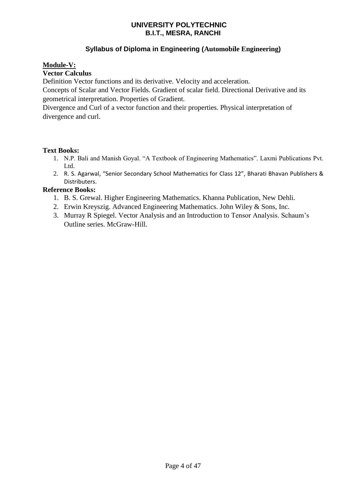# **Syllabus of Diploma in Engineering (Automobile Engineering)**

# **Module-V:**

# **Vector Calculus**

Definition Vector functions and its derivative. Velocity and acceleration.

Concepts of Scalar and Vector Fields. Gradient of scalar field. Directional Derivative and its geometrical interpretation. Properties of Gradient.

Divergence and Curl of a vector function and their properties. Physical interpretation of divergence and curl.

# **Text Books:**

- 1. N.P. Bali and Manish Goyal. "A Textbook of Engineering Mathematics". Laxmi Publications Pvt. Ltd.
- 2. R. S. Agarwal, "Senior Secondary School Mathematics for Class 12", Bharati Bhavan Publishers & Distributers.

# **Reference Books:**

- 1. B. S. Grewal. Higher Engineering Mathematics. Khanna Publication, New Dehli.
- 2. Erwin Kreyszig. Advanced Engineering Mathematics. John Wiley & Sons, Inc.
- 3. Murray R Spiegel. Vector Analysis and an Introduction to Tensor Analysis. Schaum's Outline series. McGraw-Hill.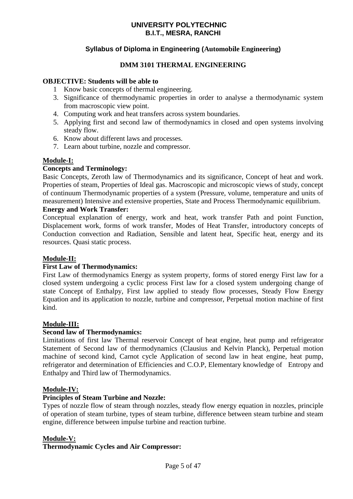# **Syllabus of Diploma in Engineering (Automobile Engineering)**

# **DMM 3101 THERMAL ENGINEERING**

### **OBJECTIVE: Students will be able to**

- 1 Know basic concepts of thermal engineering.
- 3. Significance of thermodynamic properties in order to analyse a thermodynamic system from macroscopic view point.
- 4. Computing work and heat transfers across system boundaries.
- 5. Applying first and second law of thermodynamics in closed and open systems involving steady flow.
- 6. Know about different laws and processes.
- 7. Learn about turbine, nozzle and compressor.

### **Module-I:**

### **Concepts and Terminology:**

Basic Concepts, Zeroth law of Thermodynamics and its significance, Concept of heat and work. Properties of steam, Properties of Ideal gas. Macroscopic and microscopic views of study, concept of continuum Thermodynamic properties of a system (Pressure, volume, temperature and units of measurement) Intensive and extensive properties, State and Process Thermodynamic equilibrium.

# **Energy and Work Transfer:**

Conceptual explanation of energy, work and heat, work transfer Path and point Function, Displacement work, forms of work transfer, Modes of Heat Transfer, introductory concepts of Conduction convection and Radiation, Sensible and latent heat, Specific heat, energy and its resources. Quasi static process.

### **Module-II:**

### **First Law of Thermodynamics:**

First Law of thermodynamics Energy as system property, forms of stored energy First law for a closed system undergoing a cyclic process First law for a closed system undergoing change of state Concept of Enthalpy, First law applied to steady flow processes, Steady Flow Energy Equation and its application to nozzle, turbine and compressor, Perpetual motion machine of first kind.

### **Module-III:**

# **Second law of Thermodynamics:**

Limitations of first law Thermal reservoir Concept of heat engine, heat pump and refrigerator Statement of Second law of thermodynamics (Clausius and Kelvin Planck), Perpetual motion machine of second kind, Carnot cycle Application of second law in heat engine, heat pump, refrigerator and determination of Efficiencies and C.O.P, Elementary knowledge of Entropy and Enthalpy and Third law of Thermodynamics.

### **Module-IV:**

### **Principles of Steam Turbine and Nozzle:**

Types of nozzle flow of steam through nozzles, steady flow energy equation in nozzles, principle of operation of steam turbine, types of steam turbine, difference between steam turbine and steam engine, difference between impulse turbine and reaction turbine.

### **Module-V:**

### **Thermodynamic Cycles and Air Compressor:**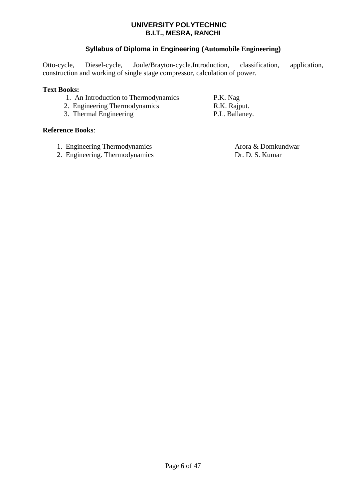# **Syllabus of Diploma in Engineering (Automobile Engineering)**

Otto-cycle, Diesel-cycle, Joule/Brayton-cycle.Introduction, classification, application, construction and working of single stage compressor, calculation of power.

# **Text Books:**

- 1. An Introduction to Thermodynamics P.K. Nag
- 2. Engineering Thermodynamics R.K. Rajput.
- 3. Thermal Engineering P.L. Ballaney.

### **Reference Books**:

- 1. Engineering Thermodynamics Arora & Domkundwar
- 2. Engineering. Thermodynamics Dr. D. S. Kumar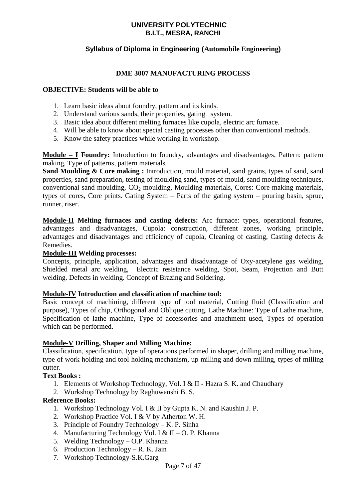# **Syllabus of Diploma in Engineering (Automobile Engineering)**

### **DME 3007 MANUFACTURING PROCESS**

### **OBJECTIVE: Students will be able to**

- 1. Learn basic ideas about foundry, pattern and its kinds.
- 2. Understand various sands, their properties, gating system.
- 3. Basic idea about different melting furnaces like cupola, electric arc furnace.
- 4. Will be able to know about special casting processes other than conventional methods.
- 5. Know the safety practices while working in workshop.

**Module – I Foundry:** Introduction to foundry, advantages and disadvantages, Pattern: pattern making, Type of patterns, pattern materials.

**Sand Moulding & Core making :** Introduction, mould material, sand grains, types of sand, sand properties, sand preparation, testing of moulding sand, types of mould, sand moulding techniques, conventional sand moulding,  $CO<sub>2</sub>$  moulding, Moulding materials, Cores: Core making materials, types of cores, Core prints. Gating System – Parts of the gating system – pouring basin, sprue, runner, riser.

**Module-II Melting furnaces and casting defects:** Arc furnace: types, operational features, advantages and disadvantages, Cupola: construction, different zones, working principle, advantages and disadvantages and efficiency of cupola, Cleaning of casting, Casting defects & Remedies.

# **Module-III Welding processes:**

Concepts, principle, application, advantages and disadvantage of Oxy-acetylene gas welding, Shielded metal arc welding, Electric resistance welding, Spot, Seam, Projection and Butt welding. Defects in welding. Concept of Brazing and Soldering.

### **Module-IV Introduction and classification of machine tool:**

Basic concept of machining, different type of tool material, Cutting fluid (Classification and purpose), Types of chip, Orthogonal and Oblique cutting. Lathe Machine: Type of Lathe machine, Specification of lathe machine, Type of accessories and attachment used, Types of operation which can be performed.

### **Module-V Drilling, Shaper and Milling Machine:**

Classification, specification, type of operations performed in shaper, drilling and milling machine, type of work holding and tool holding mechanism, up milling and down milling, types of milling cutter.

### **Text Books :**

- 1. Elements of Workshop Technology, Vol. I & II Hazra S. K. and Chaudhary
- 2. Workshop Technology by Raghuwanshi B. S.

# **Reference Books:**

- 1. Workshop Technology Vol. I & II by Gupta K. N. and Kaushin J. P.
- 2. Workshop Practice Vol. I & V by Atherton W. H.
- 3. Principle of Foundry Technology K. P. Sinha
- 4. Manufacturing Technology Vol. I & II O. P. Khanna
- 5. Welding Technology O.P. Khanna
- 6. Production Technology R. K. Jain
- 7. Workshop Technology-S.K.Garg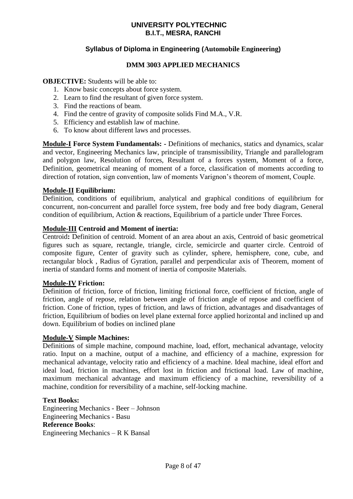# **Syllabus of Diploma in Engineering (Automobile Engineering)**

# **DMM 3003 APPLIED MECHANICS**

### **OBJECTIVE:** Students will be able to:

- 1. Know basic concepts about force system.
- 2. Learn to find the resultant of given force system.
- 3. Find the reactions of beam.
- 4. Find the centre of gravity of composite solids Find M.A., V.R.
- 5. Efficiency and establish law of machine.
- 6. To know about different laws and processes.

**Module-I Force System Fundamentals: -** Definitions of mechanics, statics and dynamics, scalar and vector, Engineering Mechanics law, principle of transmissibility, Triangle and parallelogram and polygon law, Resolution of forces, Resultant of a forces system, Moment of a force, Definition, geometrical meaning of moment of a force, classification of moments according to direction of rotation, sign convention, law of moments Varignon's theorem of moment, Couple.

### **Module-II Equilibrium:**

Definition, conditions of equilibrium, analytical and graphical conditions of equilibrium for concurrent, non-concurrent and parallel force system, free body and free body diagram, General condition of equilibrium, Action & reactions, Equilibrium of a particle under Three Forces.

### **Module-III Centroid and Moment of inertia:**

Centroid**:** Definition of centroid. Moment of an area about an axis, Centroid of basic geometrical figures such as square, rectangle, triangle, circle, semicircle and quarter circle. Centroid of composite figure, Center of gravity such as cylinder, sphere, hemisphere, cone, cube, and rectangular block , Radius of Gyration, parallel and perpendicular axis of Theorem, moment of inertia of standard forms and moment of inertia of composite Materials.

### **Module-IV Friction:**

Definition of friction, force of friction, limiting frictional force, coefficient of friction, angle of friction, angle of repose, relation between angle of friction angle of repose and coefficient of friction. Cone of friction, types of friction, and laws of friction, advantages and disadvantages of friction, Equilibrium of bodies on level plane external force applied horizontal and inclined up and down. Equilibrium of bodies on inclined plane

### **Module-V Simple Machines:**

Definitions of simple machine, compound machine, load, effort, mechanical advantage, velocity ratio. Input on a machine, output of a machine, and efficiency of a machine, expression for mechanical advantage, velocity ratio and efficiency of a machine. Ideal machine, ideal effort and ideal load, friction in machines, effort lost in friction and frictional load. Law of machine, maximum mechanical advantage and maximum efficiency of a machine, reversibility of a machine, condition for reversibility of a machine, self-locking machine.

### **Text Books:**

Engineering Mechanics - Beer – Johnson Engineering Mechanics - Basu **Reference Books**: Engineering Mechanics – R K Bansal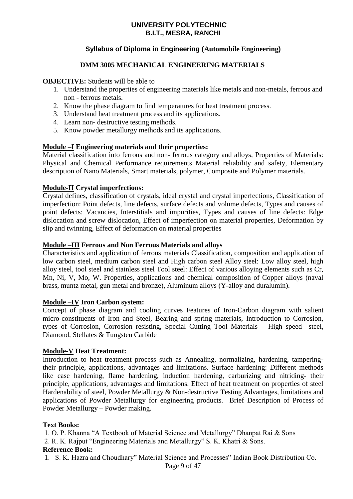# **Syllabus of Diploma in Engineering (Automobile Engineering)**

# **DMM 3005 MECHANICAL ENGINEERING MATERIALS**

### **OBJECTIVE:** Students will be able to

- 1. Understand the properties of engineering materials like metals and non-metals, ferrous and non - ferrous metals.
- 2. Know the phase diagram to find temperatures for heat treatment process.
- 3. Understand heat treatment process and its applications.
- 4. Learn non- destructive testing methods.
- 5. Know powder metallurgy methods and its applications.

### **Module –I Engineering materials and their properties:**

Material classification into ferrous and non- ferrous category and alloys, Properties of Materials: Physical and Chemical Performance requirements Material reliability and safety, Elementary description of Nano Materials, Smart materials, polymer, Composite and Polymer materials.

### **Module-II Crystal imperfections:**

Crystal defines, classification of crystals, ideal crystal and crystal imperfections, Classification of imperfection: Point defects, line defects, surface defects and volume defects, Types and causes of point defects: Vacancies, Interstitials and impurities, Types and causes of line defects: Edge dislocation and screw dislocation, Effect of imperfection on material properties, Deformation by slip and twinning, Effect of deformation on material properties

### **Module –III Ferrous and Non Ferrous Materials and alloys**

Characteristics and application of ferrous materials Classification, composition and application of low carbon steel, medium carbon steel and High carbon steel Alloy steel: Low alloy steel, high alloy steel, tool steel and stainless steel Tool steel: Effect of various alloying elements such as Cr, Mn, Ni, V, Mo, W. Properties, applications and chemical composition of Copper alloys (naval brass, muntz metal, gun metal and bronze), Aluminum alloys (Y-alloy and duralumin).

### **Module –IV Iron Carbon system:**

Concept of phase diagram and cooling curves Features of Iron-Carbon diagram with salient micro-constituents of Iron and Steel, Bearing and spring materials, Introduction to Corrosion, types of Corrosion, Corrosion resisting, Special Cutting Tool Materials – High speed steel, Diamond, Stellates & Tungsten Carbide

### **Module-V Heat Treatment:**

Introduction to heat treatment process such as Annealing, normalizing, hardening, tamperingtheir principle, applications, advantages and limitations. Surface hardening: Different methods like case hardening, flame hardening, induction hardening, carburizing and nitriding- their principle, applications, advantages and limitations. Effect of heat treatment on properties of steel Hardenability of steel, Powder Metallurgy & Non-destructive Testing Advantages, limitations and applications of Powder Metallurgy for engineering products. Brief Description of Process of Powder Metallurgy – Powder making.

### **Text Books:**

1. O. P. Khanna "A Textbook of Material Science and Metallurgy" Dhanpat Rai & Sons

2. R. K. Rajput "Engineering Materials and Metallurgy" S. K. Khatri & Sons.

### **Reference Book:**

1. S. K. Hazra and Choudhary" Material Science and Processes" Indian Book Distribution Co.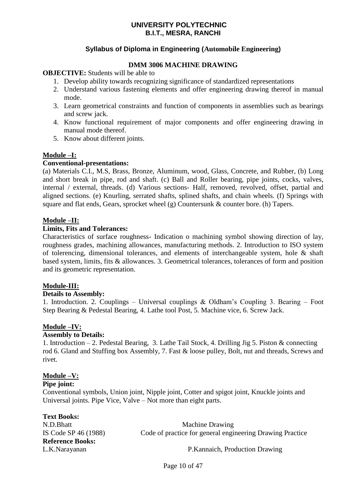# **Syllabus of Diploma in Engineering (Automobile Engineering)**

# **DMM 3006 MACHINE DRAWING**

### **OBJECTIVE:** Students will be able to

- 1. Develop ability towards recognizing significance of standardized representations
- 2. Understand various fastening elements and offer engineering drawing thereof in manual mode.
- 3. Learn geometrical constraints and function of components in assemblies such as bearings and screw jack.
- 4. Know functional requirement of major components and offer engineering drawing in manual mode thereof.
- 5. Know about different joints.

# **Module –I:**

### **Conventional-presentations:**

(a) Materials C.I., M.S, Brass, Bronze, Aluminum, wood, Glass, Concrete, and Rubber, (b) Long and short break in pipe, rod and shaft. (c) Ball and Roller bearing, pipe joints, cocks, valves, internal / external, threads. (d) Various sections- Half, removed, revolved, offset, partial and aligned sections. (e) Knurling, serrated shafts, splined shafts, and chain wheels. (f) Springs with square and flat ends, Gears, sprocket wheel (g) Countersunk & counter bore. (h) Tapers.

### **Module –II:**

### **Limits, Fits and Tolerances:**

Characteristics of surface roughness- Indication o machining symbol showing direction of lay, roughness grades, machining allowances, manufacturing methods. 2. Introduction to ISO system of tolerencing, dimensional tolerances, and elements of interchangeable system, hole & shaft based system, limits, fits & allowances. 3. Geometrical tolerances, tolerances of form and position and its geometric representation.

### **Module-III:**

### **Details to Assembly:**

1. Introduction. 2. Couplings – Universal couplings & Oldham's Coupling 3. Bearing – Foot Step Bearing & Pedestal Bearing, 4. Lathe tool Post, 5. Machine vice, 6. Screw Jack.

### **Module –IV:**

### **Assembly to Details:**

1. Introduction – 2. Pedestal Bearing, 3. Lathe Tail Stock, 4. Drilling Jig 5. Piston & connecting rod 6. Gland and Stuffing box Assembly, 7. Fast & loose pulley, Bolt, nut and threads, Screws and rivet.

### **Module –V:**

 **Pipe joint:**

Conventional symbols, Union joint, Nipple joint, Cotter and spigot joint, Knuckle joints and Universal joints. Pipe Vice, Valve – Not more than eight parts.

| <b>Text Books:</b>      |                                                           |
|-------------------------|-----------------------------------------------------------|
| N.D.Bhatt               | <b>Machine Drawing</b>                                    |
| IS Code SP 46 (1988)    | Code of practice for general engineering Drawing Practice |
| <b>Reference Books:</b> |                                                           |
| L.K.Narayanan           | P.Kannaich, Production Drawing                            |

Page 10 of 47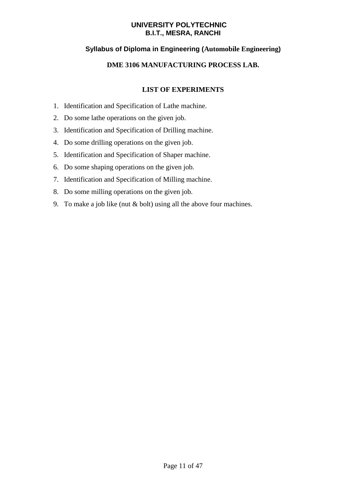# **Syllabus of Diploma in Engineering (Automobile Engineering)**

# **DME 3106 MANUFACTURING PROCESS LAB.**

# **LIST OF EXPERIMENTS**

- 1. Identification and Specification of Lathe machine.
- 2. Do some lathe operations on the given job.
- 3. Identification and Specification of Drilling machine.
- 4. Do some drilling operations on the given job.
- 5. Identification and Specification of Shaper machine.
- 6. Do some shaping operations on the given job.
- 7. Identification and Specification of Milling machine.
- 8. Do some milling operations on the given job.
- 9. To make a job like (nut & bolt) using all the above four machines.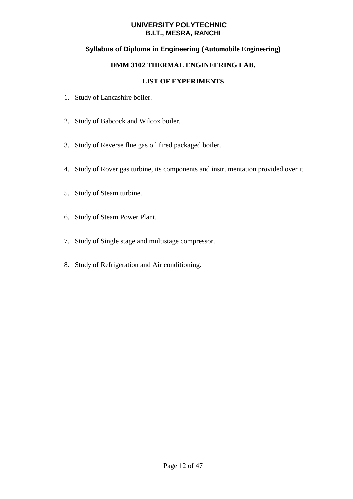# **Syllabus of Diploma in Engineering (Automobile Engineering)**

# **DMM 3102 THERMAL ENGINEERING LAB.**

# **LIST OF EXPERIMENTS**

- 1. Study of Lancashire boiler.
- 2. Study of Babcock and Wilcox boiler.
- 3. Study of Reverse flue gas oil fired packaged boiler.
- 4. Study of Rover gas turbine, its components and instrumentation provided over it.
- 5. Study of Steam turbine.
- 6. Study of Steam Power Plant.
- 7. Study of Single stage and multistage compressor.
- 8. Study of Refrigeration and Air conditioning.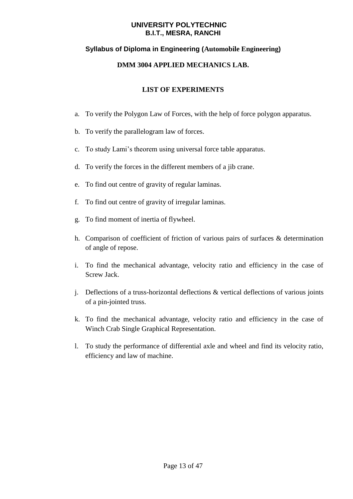# **Syllabus of Diploma in Engineering (Automobile Engineering)**

# **DMM 3004 APPLIED MECHANICS LAB.**

# **LIST OF EXPERIMENTS**

- a. To verify the Polygon Law of Forces, with the help of force polygon apparatus.
- b. To verify the parallelogram law of forces.
- c. To study Lami's theorem using universal force table apparatus.
- d. To verify the forces in the different members of a jib crane.
- e. To find out centre of gravity of regular laminas.
- f. To find out centre of gravity of irregular laminas.
- g. To find moment of inertia of flywheel.
- h. Comparison of coefficient of friction of various pairs of surfaces & determination of angle of repose.
- i. To find the mechanical advantage, velocity ratio and efficiency in the case of Screw Jack.
- j. Deflections of a truss-horizontal deflections & vertical deflections of various joints of a pin-jointed truss.
- k. To find the mechanical advantage, velocity ratio and efficiency in the case of Winch Crab Single Graphical Representation.
- l. To study the performance of differential axle and wheel and find its velocity ratio, efficiency and law of machine.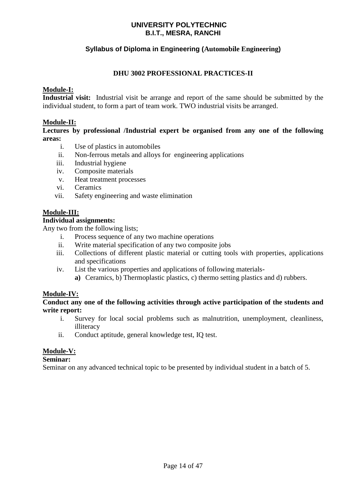# **Syllabus of Diploma in Engineering (Automobile Engineering)**

# **DHU 3002 PROFESSIONAL PRACTICES-II**

### **Module-I:**

**Industrial visit:** Industrial visit be arrange and report of the same should be submitted by the individual student, to form a part of team work. TWO industrial visits be arranged.

### **Module-II:**

### **Lectures by professional /Industrial expert be organised from any one of the following areas:**

- i. Use of plastics in automobiles
- ii. Non-ferrous metals and alloys for engineering applications
- iii. Industrial hygiene
- iv. Composite materials
- v. Heat treatment processes
- vi. Ceramics
- vii. Safety engineering and waste elimination

### **Module-III:**

### **Individual assignments:**

Any two from the following lists;

- i. Process sequence of any two machine operations
- ii. Write material specification of any two composite jobs
- iii. Collections of different plastic material or cutting tools with properties, applications and specifications
- iv. List the various properties and applications of following materials**a)** Ceramics, b) Thermoplastic plastics, c) thermo setting plastics and d) rubbers.

# **Module-IV:**

**Conduct any one of the following activities through active participation of the students and write report:**

- i. Survey for local social problems such as malnutrition, unemployment, cleanliness, illiteracy
- ii. Conduct aptitude, general knowledge test, IQ test.

# **Module-V:**

### **Seminar:**

Seminar on any advanced technical topic to be presented by individual student in a batch of 5.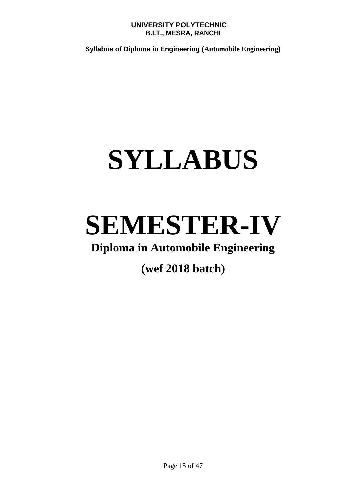**Syllabus of Diploma in Engineering (Automobile Engineering)** 

# **SYLLABUS**

# **SEMESTER-IV**

# **Diploma in Automobile Engineering**

**(wef 2018 batch)**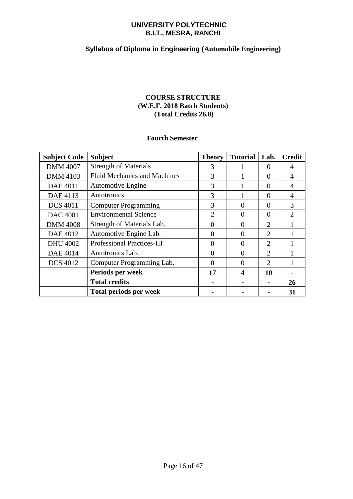# **Syllabus of Diploma in Engineering (Automobile Engineering)**

# **COURSE STRUCTURE (W.E.F. 2018 Batch Students) (Total Credits 26.0)**

### **Fourth Semester**

| <b>Subject Code</b> | <b>Subject</b>                      | <b>Theory</b>  | <b>Tutorial</b> | Lab.                        | <b>Credit</b>               |
|---------------------|-------------------------------------|----------------|-----------------|-----------------------------|-----------------------------|
| <b>DMM 4007</b>     | <b>Strength of Materials</b>        | 3              |                 | $\Omega$                    | 4                           |
| <b>DMM 4103</b>     | <b>Fluid Mechanics and Machines</b> | 3              |                 | $\Omega$                    | 4                           |
| <b>DAE 4011</b>     | <b>Automotive Engine</b>            | 3              |                 | $\Omega$                    | $\overline{4}$              |
| DAE 4113            | Autotronics                         | 3              |                 | $\Omega$                    | 4                           |
| <b>DCS 4011</b>     | <b>Computer Programming</b>         | 3              | 0               | $\Omega$                    | 3                           |
| <b>DAC</b> 4001     | <b>Environmental Science</b>        | $\overline{2}$ | 0               | $\Omega$                    | $\mathcal{D}_{\mathcal{L}}$ |
| <b>DMM 4008</b>     | Strength of Materials Lab.          | $\Omega$       | 0               | $\overline{2}$              |                             |
| <b>DAE 4012</b>     | Automotive Engine Lab.              | $\theta$       | 0               | $\mathcal{D}_{\mathcal{L}}$ |                             |
| <b>DHU 4002</b>     | <b>Professional Practices-III</b>   | $\Omega$       | 0               | $\overline{2}$              |                             |
| <b>DAE 4014</b>     | Autotronics Lab.                    | $\Omega$       | 0               | $\overline{2}$              |                             |
| <b>DCS 4012</b>     | Computer Programming Lab.           | $\Omega$       | 0               | $\overline{2}$              |                             |
|                     | Periods per week                    | 17             | 4               | 10                          |                             |
|                     | <b>Total credits</b>                |                |                 |                             | 26                          |
|                     | <b>Total periods per week</b>       |                |                 |                             | 31                          |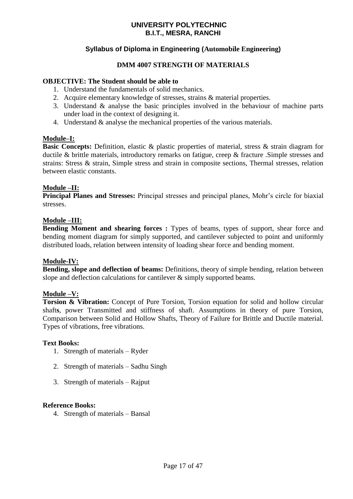# **Syllabus of Diploma in Engineering (Automobile Engineering)**

# **DMM 4007 STRENGTH OF MATERIALS**

### **OBJECTIVE: The Student should be able to**

- 1. Understand the fundamentals of solid mechanics.
- 2. Acquire elementary knowledge of stresses, strains & material properties.
- 3. Understand & analyse the basic principles involved in the behaviour of machine parts under load in the context of designing it.
- 4. Understand & analyse the mechanical properties of the various materials.

### **Module–I:**

**Basic Concepts:** Definition, elastic & plastic properties of material, stress & strain diagram for ductile & brittle materials, introductory remarks on fatigue, creep & fracture .Simple stresses and strains: Stress & strain, Simple stress and strain in composite sections, Thermal stresses, relation between elastic constants.

# **Module –II:**

**Principal Planes and Stresses:** Principal stresses and principal planes, Mohr's circle for biaxial stresses.

### **Module –III:**

**Bending Moment and shearing forces :** Types of beams, types of support, shear force and bending moment diagram for simply supported, and cantilever subjected to point and uniformly distributed loads, relation between intensity of loading shear force and bending moment.

### **Module-IV:**

**Bending, slope and deflection of beams:** Definitions, theory of simple bending, relation between slope and deflection calculations for cantilever  $\&$  simply supported beams.

### **Module –V:**

**Torsion & Vibration:** Concept of Pure Torsion, Torsion equation for solid and hollow circular shaft**s**, power Transmitted and stiffness of shaft. Assumptions in theory of pure Torsion, Comparison between Solid and Hollow Shafts, Theory of Failure for Brittle and Ductile material. Types of vibrations, free vibrations.

### **Text Books:**

- 1. Strength of materials Ryder
- 2. Strength of materials Sadhu Singh
- 3. Strength of materials Rajput

### **Reference Books:**

4. Strength of materials – Bansal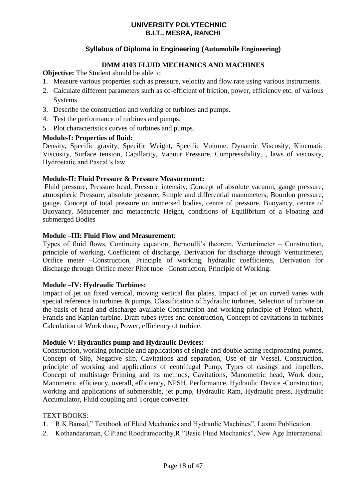# **Syllabus of Diploma in Engineering (Automobile Engineering)**

# **DMM 4103 FLUID MECHANICS AND MACHINES**

**Objective:** The Student should be able to

- 1. Measure various properties such as pressure, velocity and flow rate using various instruments.
- 2. Calculate different parameters such as co-efficient of friction, power, efficiency etc. of various Systems
- 3. Describe the construction and working of turbines and pumps.
- 4. Test the performance of turbines and pumps.
- 5. Plot characteristics curves of turbines and pumps.

### **Module-I: Properties of fluid:**

Density, Specific gravity, Specific Weight, Specific Volume, Dynamic Viscosity, Kinematic Viscosity, Surface tension, Capillarity, Vapour Pressure, Compressibility, , laws of viscosity, Hydrostatic and Pascal's law.

### **Module-II: Fluid Pressure & Pressure Measurement:**

Fluid pressure, Pressure head, Pressure intensity, Concept of absolute vacuum, gauge pressure, atmospheric Pressure, absolute pressure, Simple and differential manometers, Bourdon pressure, gauge. Concept of total pressure on immersed bodies, centre of pressure, Buoyancy, centre of Buoyancy, Metacenter and metacentric Height, conditions of Equilibrium of a Floating and submerged Bodies

### **Module –III: Fluid Flow and Measurement**:

Types of fluid flows, Continuity equation, Bernoulli's theorem, Venturimeter – Construction, principle of working, Coefficient of discharge, Derivation for discharge through Venturimeter, Orifice meter –Construction, Principle of working, hydraulic coefficients, Derivation for discharge through Orifice meter Pitot tube –Construction, Principle of Working.

# **Module –IV: Hydraulic Turbines:**

Impact of jet on fixed vertical, moving vertical flat plates, Impact of jet on curved vanes with special reference to turbines & pumps, Classification of hydraulic turbines, Selection of turbine on the basis of head and discharge available Construction and working principle of Pelton wheel, Francis and Kaplan turbine. Draft tubes-types and construction, Concept of cavitations in turbines Calculation of Work done, Power, efficiency of turbine.

# **Module-V: Hydraulics pump and Hydraulic Devices:**

Construction, working principle and applications of single and double acting reciprocating pumps. Concept of Slip, Negative slip, Cavitations and separation, Use of air Vessel, Construction, principle of working and applications of centrifugal Pump, Types of casings and impellers. Concept of multistage Priming and its methods, Cavitations, Manometric head, Work done, Manometric efficiency, overall, efficiency, NPSH, Performance, Hydraulic Device -Construction, working and applications of submersible, jet pump, Hydraulic Ram, Hydraulic press, Hydraulic Accumulator, Fluid coupling and Torque converter.

### TEXT BOOKS:

- 1. R.K.Bansal," Textbook of Fluid Mechanics and Hydraulic Machines", Laxmi Publication.
- 2. Kothandaraman, C.P.and Roodramoorthy,R."Basic Fluid Mechanics", New Age International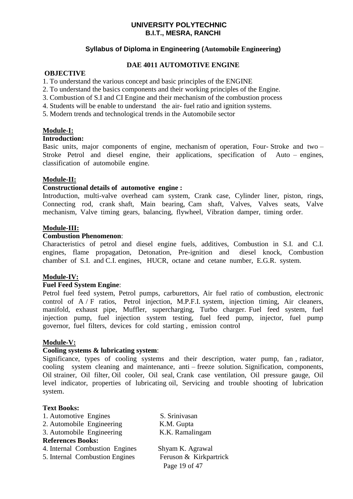# **Syllabus of Diploma in Engineering (Automobile Engineering)**

# **DAE 4011 AUTOMOTIVE ENGINE**

### **OBJECTIVE**

- 1. To understand the various concept and basic principles of the ENGINE
- 2. To understand the basics components and their working principles of the Engine.
- 3. Combustion of S.I and CI Engine and their mechanism of the combustion process
- 4. Students will be enable to understand the air- fuel ratio and ignition systems.
- 5. Modern trends and technological trends in the Automobile sector

# **Module-I:**

### **Introduction:**

Basic units, major components of engine, mechanism of operation, Four-Stroke and two – Stroke Petrol and diesel engine, their applications, specification of Auto – engines, classification of automobile engine.

# **Module-II:**

### **Constructional details of automotive engine :**

Introduction, multi-valve overhead cam system, Crank case, Cylinder liner, piston, rings, Connecting rod, crank shaft, Main bearing, Cam shaft, Valves, Valves seats, Valve mechanism, Valve timing gears, balancing, flywheel, Vibration damper, timing order.

### **Module-III:**

### **Combustion Phenomenon**:

Characteristics of petrol and diesel engine fuels, additives, Combustion in S.I. and C.I. engines, flame propagation, Detonation, Pre-ignition and diesel knock, Combustion chamber of S.I. and C.I. engines, HUCR, octane and cetane number, E.G.R. system.

# **Module-IV:**

### **Fuel Feed System Engine**:

Petrol fuel feed system, Petrol pumps, carburettors, Air fuel ratio of combustion, electronic control of A / F ratios, Petrol injection, M.P.F.I. system, injection timing, Air cleaners, manifold, exhaust pipe, Muffler, supercharging, Turbo charger. Fuel feed system, fuel injection pump, fuel injection system testing, fuel feed pump, injector, fuel pump governor, fuel filters, devices for cold starting , emission control

# **Module-V:**

### **Cooling systems & lubricating system**:

Significance, types of cooling systems and their description, water pump, fan , radiator, cooling system cleaning and maintenance, anti – freeze solution. Signification, components, Oil strainer, Oil filter, Oil cooler, Oil seal, Crank case ventilation, Oil pressure gauge, Oil level indicator, properties of lubricating oil, Servicing and trouble shooting of lubrication system.

### **Text Books:**

| 1. Automotive Engines          | S. Srinivasan          |
|--------------------------------|------------------------|
| 2. Automobile Engineering      | K.M. Gupta             |
| 3. Automobile Engineering      | K.K. Ramalingam        |
| <b>References Books:</b>       |                        |
| 4. Internal Combustion Engines | Shyam K. Agrawal       |
| 5. Internal Combustion Engines | Feruson & Kirkpartrick |
|                                | Page 19 of 47          |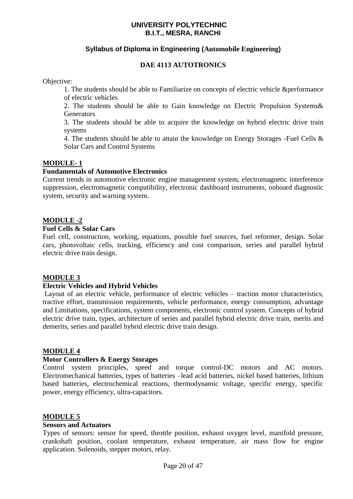# **Syllabus of Diploma in Engineering (Automobile Engineering)**

# **DAE 4113 AUTOTRONICS**

Objective:

1. The students should be able to Familiarize on concepts of electric vehicle &performance of electric vehicles

2. The students should be able to Gain knowledge on Electric Propulsion Systems& **Generators** 

3. The students should be able to acquire the knowledge on hybrid electric drive train systems

4. The students should be able to attain the knowledge on Energy Storages -Fuel Cells & Solar Cars and Control Systems

# **MODULE- 1**

### **Fundamentals of Automotive Electronics**

Current trends in automotive electronic engine management system, electromagnetic interference suppression, electromagnetic compatibility, electronic dashboard instruments, onboard diagnostic system, security and warning system.

# **MODULE -2**

### **Fuel Cells & Solar Cars**

Fuel cell, construction, working, equations, possible fuel sources, fuel reformer, design. Solar cars, photovoltaic cells, tracking, efficiency and cost comparison, series and parallel hybrid electric drive train design.

# **MODULE 3**

# **Electric Vehicles and Hybrid Vehicles**

Layout of an electric vehicle, performance of electric vehicles – traction motor characteristics, tractive effort, transmission requirements, vehicle performance, energy consumption, advantage and Limitations, specifications, system components, electronic control system. Concepts of hybrid electric drive train, types, architecture of series and parallel hybrid electric drive train, merits and demerits, series and parallel hybrid electric drive train design.

### **MODULE 4**

### **Motor Controllers & Energy Storages**

Control system principles, speed and torque control-DC motors and AC motors. Electromechanical batteries, types of batteries –lead acid batteries, nickel based batteries, lithium based batteries, electrochemical reactions, thermodynamic voltage, specific energy, specific power, energy efficiency, ultra-capacitors.

# **MODULE 5**

### **Sensors and Actuators**

Types of sensors: sensor for speed, throttle position, exhaust oxygen level, manifold pressure, crankshaft position, coolant temperature, exhaust temperature, air mass flow for engine application. Solenoids, stepper motors, relay.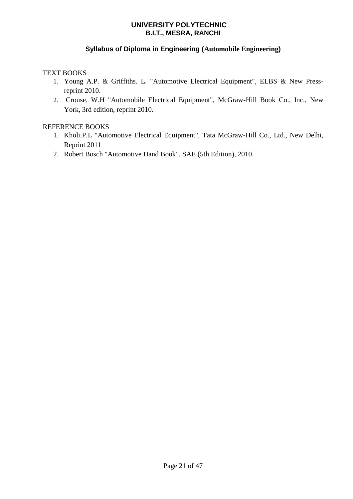# **Syllabus of Diploma in Engineering (Automobile Engineering)**

# TEXT BOOKS

- 1. Young A.P. & Griffiths. L. "Automotive Electrical Equipment", ELBS & New Pressreprint 2010.
- 2. Crouse, W.H "Automobile Electrical Equipment", McGraw-Hill Book Co., Inc., New York, 3rd edition, reprint 2010.

# REFERENCE BOOKS

- 1. Kholi.P.L "Automotive Electrical Equipment", Tata McGraw-Hill Co., Ltd., New Delhi, Reprint 2011
- 2. Robert Bosch "Automotive Hand Book", SAE (5th Edition), 2010.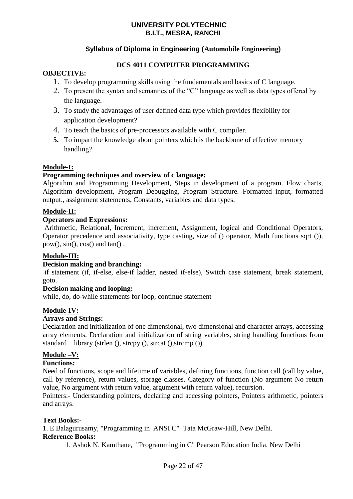# **Syllabus of Diploma in Engineering (Automobile Engineering)**

# **DCS 4011 COMPUTER PROGRAMMING**

# **OBJECTIVE:**

- 1. To develop programming skills using the fundamentals and basics of C language.
- 2. To present the syntax and semantics of the "C" language as well as data types offered by the language.
- 3. To study the advantages of user defined data type which provides flexibility for application development?
- 4. To teach the basics of pre-processors available with C compiler.
- **5.** To impart the knowledge about pointers which is the backbone of effective memory handling?

# **Module-I:**

# **Programming techniques and overview of c language:**

Algorithm and Programming Development, Steps in development of a program. Flow charts, Algorithm development, Program Debugging, Program Structure. Formatted input, formatted output., assignment statements, Constants, variables and data types.

# **Module-II:**

# **Operators and Expressions:**

Arithmetic, Relational, Increment, increment, Assignment, logical and Conditional Operators, Operator precedence and associativity, type casting, size of () operator, Math functions sqrt ()),  $pow(), sin(), cos()$  and  $tan()$ .

# **Module-III:**

# **Decision making and branching:**

if statement (if, if-else, else-if ladder, nested if-else), Switch case statement, break statement, goto.

# **Decision making and looping:**

while, do, do-while statements for loop, continue statement

# **Module-IV:**

# **Arrays and Strings:**

Declaration and initialization of one dimensional, two dimensional and character arrays, accessing array elements. Declaration and initialization of string variables, string handling functions from standard library (strlen (), strcpy (), strcat (), strcmp ()).

# **Module –V:**

# **Functions:**

Need of functions, scope and lifetime of variables, defining functions, function call (call by value, call by reference), return values, storage classes. Category of function (No argument No return value, No argument with return value, argument with return value), recursion.

Pointers:- Understanding pointers, declaring and accessing pointers, Pointers arithmetic, pointers and arrays.

# **Text Books:-**

1. E Balagurusamy, "Programming in ANSI C" Tata McGraw-Hill, New Delhi.

### **Reference Books:**

1. Ashok N. Kamthane, "Programming in C" Pearson Education India, New Delhi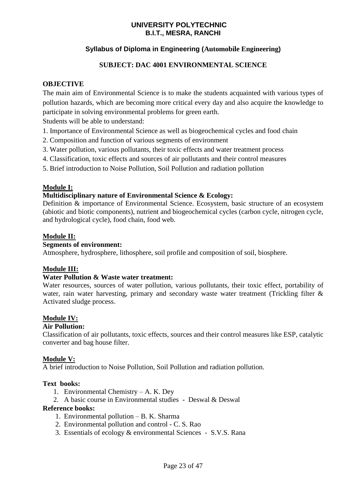# **Syllabus of Diploma in Engineering (Automobile Engineering)**

# **SUBJECT: DAC 4001 ENVIRONMENTAL SCIENCE**

# **OBJECTIVE**

The main aim of Environmental Science is to make the students acquainted with various types of pollution hazards, which are becoming more critical every day and also acquire the knowledge to participate in solving environmental problems for green earth.

Students will be able to understand:

- 1. Importance of Environmental Science as well as biogeochemical cycles and food chain
- 2. Composition and function of various segments of environment
- 3. Water pollution, various pollutants, their toxic effects and water treatment process
- 4. Classification, toxic effects and sources of air pollutants and their control measures
- 5. Brief introduction to Noise Pollution, Soil Pollution and radiation pollution

# **Module I:**

# **Multidisciplinary nature of Environmental Science & Ecology:**

Definition & importance of Environmental Science. Ecosystem, basic structure of an ecosystem (abiotic and biotic components), nutrient and biogeochemical cycles (carbon cycle, nitrogen cycle, and hydrological cycle), food chain, food web.

# **Module II:**

# **Segments of environment:**

Atmosphere, hydrosphere, lithosphere, soil profile and composition of soil, biosphere.

# **Module III:**

# **Water Pollution & Waste water treatment:**

Water resources, sources of water pollution, various pollutants, their toxic effect, portability of water, rain water harvesting, primary and secondary waste water treatment (Trickling filter & Activated sludge process.

# **Module IV:**

# **Air Pollution:**

Classification of air pollutants, toxic effects, sources and their control measures like ESP, catalytic converter and bag house filter.

# **Module V:**

A brief introduction to Noise Pollution, Soil Pollution and radiation pollution.

# **Text books:**

- 1. Environmental Chemistry A. K. Dey
- 2. A basic course in Environmental studies Deswal & Deswal

### **Reference books:**

- 1. Environmental pollution B. K. Sharma
- 2. Environmental pollution and control C. S. Rao
- 3. Essentials of ecology & environmental Sciences S.V.S. Rana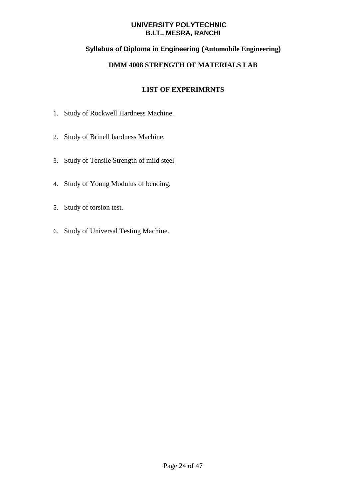# **Syllabus of Diploma in Engineering (Automobile Engineering)**

# **DMM 4008 STRENGTH OF MATERIALS LAB**

# **LIST OF EXPERIMRNTS**

- 1. Study of Rockwell Hardness Machine.
- 2. Study of Brinell hardness Machine.
- 3. Study of Tensile Strength of mild steel
- 4. Study of Young Modulus of bending.
- 5. Study of torsion test.
- 6. Study of Universal Testing Machine.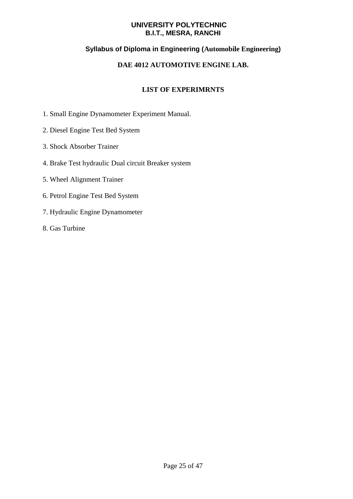# **Syllabus of Diploma in Engineering (Automobile Engineering)**

# **DAE 4012 AUTOMOTIVE ENGINE LAB.**

# **LIST OF EXPERIMRNTS**

- 1. Small Engine Dynamometer Experiment Manual.
- 2. Diesel Engine Test Bed System
- 3. Shock Absorber Trainer
- 4. Brake Test hydraulic Dual circuit Breaker system
- 5. Wheel Alignment Trainer
- 6. Petrol Engine Test Bed System
- 7. Hydraulic Engine Dynamometer
- 8. Gas Turbine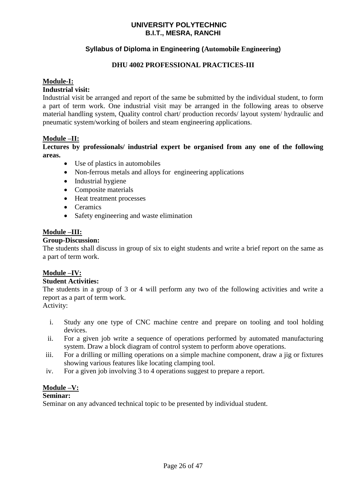# **Syllabus of Diploma in Engineering (Automobile Engineering)**

# **DHU 4002 PROFESSIONAL PRACTICES-III**

### **Module-I:**

### **Industrial visit:**

Industrial visit be arranged and report of the same be submitted by the individual student, to form a part of term work. One industrial visit may be arranged in the following areas to observe material handling system, Quality control chart/ production records/ layout system/ hydraulic and pneumatic system/working of boilers and steam engineering applications.

### **Module –II:**

**Lectures by professionals/ industrial expert be organised from any one of the following areas.**

- Use of plastics in automobiles
- Non-ferrous metals and alloys for engineering applications
- Industrial hygiene
- Composite materials
- Heat treatment processes
- Ceramics
- Safety engineering and waste elimination

### **Module –III:**

### **Group-Discussion:**

The students shall discuss in group of six to eight students and write a brief report on the same as a part of term work.

### **Module –IV:**

### **Student Activities:**

The students in a group of 3 or 4 will perform any two of the following activities and write a report as a part of term work.

Activity:

- i. Study any one type of CNC machine centre and prepare on tooling and tool holding devices.
- ii. For a given job write a sequence of operations performed by automated manufacturing system. Draw a block diagram of control system to perform above operations.
- iii. For a drilling or milling operations on a simple machine component, draw a jig or fixtures showing various features like locating clamping tool.
- iv. For a given job involving 3 to 4 operations suggest to prepare a report.

# **Module –V:**

### **Seminar:**

Seminar on any advanced technical topic to be presented by individual student.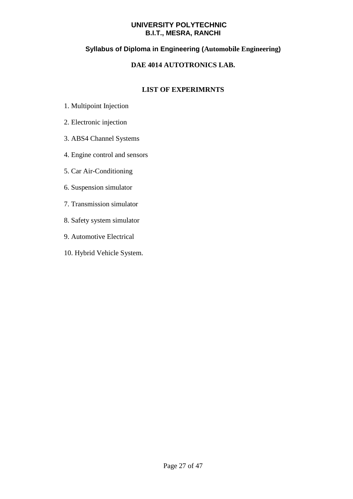# **Syllabus of Diploma in Engineering (Automobile Engineering)**

# **DAE 4014 AUTOTRONICS LAB.**

# **LIST OF EXPERIMRNTS**

- 1. Multipoint Injection
- 2. Electronic injection
- 3. ABS4 Channel Systems
- 4. Engine control and sensors
- 5. Car Air-Conditioning
- 6. Suspension simulator
- 7. Transmission simulator
- 8. Safety system simulator
- 9. Automotive Electrical
- 10. Hybrid Vehicle System.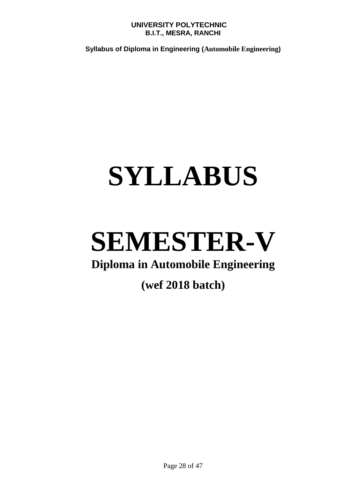**Syllabus of Diploma in Engineering (Automobile Engineering)** 

# **SYLLABUS**

# **SEMESTER-V**

# **Diploma in Automobile Engineering**

# **(wef 2018 batch)**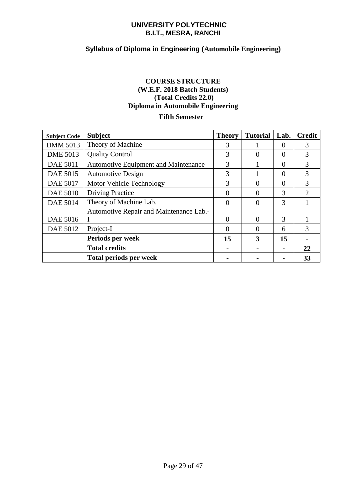# **Syllabus of Diploma in Engineering (Automobile Engineering)**

# **COURSE STRUCTURE (W.E.F. 2018 Batch Students) (Total Credits 22.0) Diploma in Automobile Engineering**

# **Fifth Semester**

| <b>Subject Code</b> | <b>Subject</b>                          | <b>Theory</b> | <b>Tutorial</b> | Lab.          | <b>Credit</b>               |
|---------------------|-----------------------------------------|---------------|-----------------|---------------|-----------------------------|
| <b>DMM 5013</b>     | Theory of Machine                       | 3             |                 | $\Omega$      | 3                           |
| <b>DME 5013</b>     | <b>Quality Control</b>                  | 3             | 0               | $\Omega$      | 3                           |
| <b>DAE 5011</b>     | Automotive Equipment and Maintenance    | 3             |                 | $\Omega$      | 3                           |
| DAE 5015            | <b>Automotive Design</b>                | 3             |                 | $\Omega$      | 3                           |
| DAE 5017            | Motor Vehicle Technology                | 3             | 0               | $\Omega$      | 3                           |
| <b>DAE 5010</b>     | <b>Driving Practice</b>                 | $\Omega$      | 0               | 3             | $\mathcal{D}_{\mathcal{L}}$ |
| <b>DAE 5014</b>     | Theory of Machine Lab.                  | $\Omega$      | 0               | 3             |                             |
|                     | Automotive Repair and Maintenance Lab.- |               |                 |               |                             |
| DAE 5016            |                                         |               | 0               | $\mathcal{R}$ |                             |
| DAE 5012            | Project-I                               | $\Omega$      | 0               | 6             | 3                           |
|                     | Periods per week                        | 15            | 3               | 15            |                             |
|                     | <b>Total credits</b>                    |               |                 |               | 22                          |
|                     | <b>Total periods per week</b>           |               |                 |               | 33                          |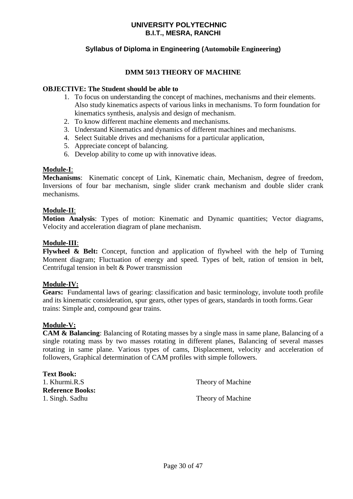# **Syllabus of Diploma in Engineering (Automobile Engineering)**

# **DMM 5013 THEORY OF MACHINE**

# **OBJECTIVE: The Student should be able to**

- 1. To focus on understanding the concept of machines, mechanisms and their elements. Also study kinematics aspects of various links in mechanisms. To form foundation for kinematics synthesis, analysis and design of mechanism.
- 2. To know different machine elements and mechanisms.
- 3. Understand Kinematics and dynamics of different machines and mechanisms.
- 4. Select Suitable drives and mechanisms for a particular application,
- 5. Appreciate concept of balancing.
- 6. Develop ability to come up with innovative ideas.

### **Module-I**:

**Mechanisms**: Kinematic concept of Link, Kinematic chain, Mechanism, degree of freedom, Inversions of four bar mechanism, single slider crank mechanism and double slider crank mechanisms.

### **Module-II**:

**Motion Analysis**: Types of motion: Kinematic and Dynamic quantities; Vector diagrams, Velocity and acceleration diagram of plane mechanism.

### **Module-III**:

**Flywheel & Belt:** Concept, function and application of flywheel with the help of Turning Moment diagram; Fluctuation of energy and speed. Types of belt, ration of tension in belt, Centrifugal tension in belt & Power transmission

### **Module-IV:**

**Gears:** Fundamental laws of gearing: classification and basic terminology, involute tooth profile and its kinematic consideration, spur gears, other types of gears, standards in tooth forms. Gear trains: Simple and, compound gear trains.

### **Module-V:**

**CAM & Balancing**: Balancing of Rotating masses by a single mass in same plane, Balancing of a single rotating mass by two masses rotating in different planes, Balancing of several masses rotating in same plane. Various types of cams, Displacement, velocity and acceleration of followers, Graphical determination of CAM profiles with simple followers.

| <b>Text Book:</b>       |                   |
|-------------------------|-------------------|
| 1. Khurmi.R.S           | Theory of Machine |
| <b>Reference Books:</b> |                   |
| 1. Singh. Sadhu         | Theory of Machine |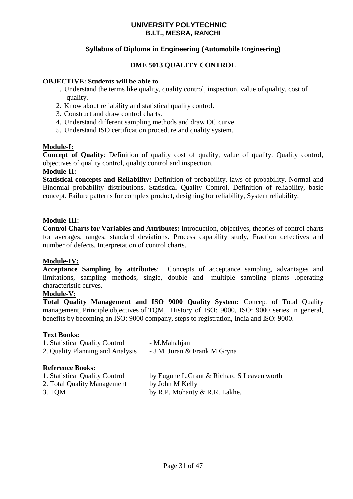# **Syllabus of Diploma in Engineering (Automobile Engineering)**

# **DME 5013 QUALITY CONTROL**

### **OBJECTIVE: Students will be able to**

- 1. Understand the terms like quality, quality control, inspection, value of quality, cost of quality.
- 2. Know about reliability and statistical quality control.
- 3. Construct and draw control charts.
- 4. Understand different sampling methods and draw OC curve.
- 5. Understand ISO certification procedure and quality system.

### **Module-I:**

**Concept of Quality**: Definition of quality cost of quality, value of quality. Quality control, objectives of quality control, quality control and inspection.

### **Module-II:**

**Statistical concepts and Reliability:** Definition of probability, laws of probability. Normal and Binomial probability distributions. Statistical Quality Control, Definition of reliability, basic concept. Failure patterns for complex product, designing for reliability, System reliability.

### **Module-III:**

**Control Charts for Variables and Attributes:** Introduction, objectives, theories of control charts for averages, ranges, standard deviations. Process capability study, Fraction defectives and number of defects. Interpretation of control charts.

### **Module-IV:**

**Acceptance Sampling by attributes**: Concepts of acceptance sampling, advantages and limitations, sampling methods, single, double and- multiple sampling plants .operating characteristic curves.

### **Module-V:**

**Total Quality Management and ISO 9000 Quality System:** Concept of Total Quality management, Principle objectives of TQM, History of ISO: 9000, ISO: 9000 series in general, benefits by becoming an ISO: 9000 company, steps to registration, India and ISO: 9000.

### **Text Books:**

| 1. Statistical Quality Control   | - M.Mahahjan                 |
|----------------------------------|------------------------------|
| 2. Quality Planning and Analysis | - J.M .Juran & Frank M Gryna |

### **Reference Books:**

| 1. Statistical Quality Control | by Eugune L. Grant & Richard S Leaven worth |
|--------------------------------|---------------------------------------------|
| 2. Total Quality Management    | by John M Kelly                             |
| 3. TOM                         | by R.P. Mohanty & R.R. Lakhe.               |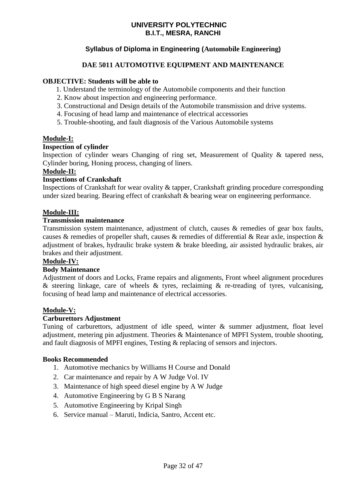# **Syllabus of Diploma in Engineering (Automobile Engineering)**

# **DAE 5011 AUTOMOTIVE EQUIPMENT AND MAINTENANCE**

### **OBJECTIVE: Students will be able to**

- 1. Understand the terminology of the Automobile components and their function
- 2. Know about inspection and engineering performance.
- 3. Constructional and Design details of the Automobile transmission and drive systems.
- 4. Focusing of head lamp and maintenance of electrical accessories
- 5. Trouble-shooting, and fault diagnosis of the Various Automobile systems

### **Module-I:**

### **Inspection of cylinder**

Inspection of cylinder wears Changing of ring set, Measurement of Quality & tapered ness, Cylinder boring, Honing process, changing of liners.

### **Module-II:**

# **Inspections of Crankshaft**

Inspections of Crankshaft for wear ovality & tapper, Crankshaft grinding procedure corresponding under sized bearing. Bearing effect of crankshaft & bearing wear on engineering performance.

### **Module-III:**

### **Transmission maintenance**

Transmission system maintenance, adjustment of clutch, causes & remedies of gear box faults, causes & remedies of propeller shaft, causes & remedies of differential & Rear axle, inspection & adjustment of brakes, hydraulic brake system & brake bleeding, air assisted hydraulic brakes, air brakes and their adjustment.

### **Module-IV:**

### **Body Maintenance**

Adjustment of doors and Locks, Frame repairs and alignments, Front wheel alignment procedures & steering linkage, care of wheels & tyres, reclaiming & re-treading of tyres, vulcanising, focusing of head lamp and maintenance of electrical accessories.

### **Module-V:**

### **Carburettors Adjustment**

Tuning of carburettors, adjustment of idle speed, winter & summer adjustment, float level adjustment, metering pin adjustment. Theories & Maintenance of MPFI System, trouble shooting, and fault diagnosis of MPFI engines, Testing & replacing of sensors and injectors.

### **Books Recommended**

- 1. Automotive mechanics by Williams H Course and Donald
- 2. Car maintenance and repair by A W Judge Vol. IV
- 3. Maintenance of high speed diesel engine by A W Judge
- 4. Automotive Engineering by G B S Narang
- 5. Automotive Engineering by Kripal Singh
- 6. Service manual Maruti, Indicia, Santro, Accent etc.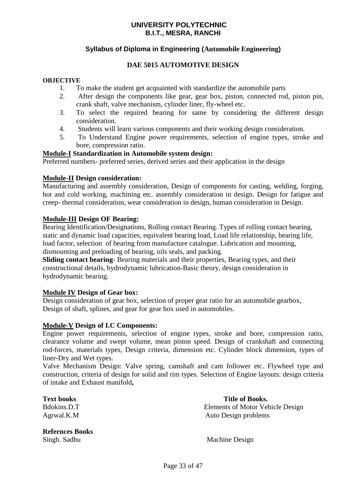# **Syllabus of Diploma in Engineering (Automobile Engineering)**

# **DAE 5015 AUTOMOTIVE DESIGN**

### **OBJECTIVE**

- 1. To make the student get acquainted with standardize the automobile parts
- 2. After design the components like gear, gear box, piston, connected rod, piston pin, crank shaft, valve mechanism, cylinder liner, fly-wheel etc.
- 3. To select the required bearing for same by considering the different design consideration.
- 4. Students will learn various components and their working design consideration.
- 5. To Understand Engine power requirements, selection of engine types, stroke and bore, compression ratio.

### **Module-I Standardization in Automobile system design:**

Preferred numbers- preferred series, derived series and their application in the design

### **Module-II Design consideration:**

Manufacturing and assembly consideration, Design of components for casting, welding, forging, hot and cold working, machining etc. assembly consideration in design. Design for fatigue and creep- thermal consideration, wear consideration in design, human consideration in Design.

### **Module-III Design OF Bearing:**

Bearing Identification/Designations, Rolling contact Bearing. Types of rolling contact bearing, static and dynamic load capacities, equivalent bearing load, Load life relationship, bearing life, load factor, selection of bearing from manufacture catalogue. Lubrication and mounting, dismounting and preloading of bearing, oils seals, and packing.

**Sliding contact bearing**- Bearing materials and their properties, Bearing types, and their constructional details, hydrodynamic lubrication-Basic theory, design consideration in hydrodynamic bearing.

### **Module IV Design of Gear box:**

Design consideration of gear box, selection of proper gear ratio for an automobile gearbox, Design of shaft, splines, and gear for gear box used in automobiles.

### **Module-V Design of I.C Components:**

Engine power requirements, selection of engine types, stroke and bore, compression ratio, clearance volume and swept volume, mean piston speed. Design of crankshaft and connecting rod-forces, materials types, Design criteria, dimension etc. Cylinder block dimension, types of liner-Dry and Wet types.

Valve Mechanism Design: Valve spring, camshaft and cam follower etc. Flywheel type and construction, criteria of design for solid and rim types. Selection of Engine layouts: design criteria of intake and Exhaust manifold**,**

**Refernces Books** Singh. Sadhu Machine Design

**Text books** Text books **Text books**. Bdokins.D.T Elements of Motor Vehicle Design Agrwal.K.M Auto Design problems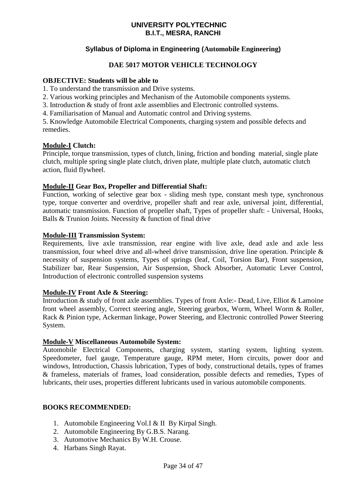# **Syllabus of Diploma in Engineering (Automobile Engineering)**

# **DAE 5017 MOTOR VEHICLE TECHNOLOGY**

### **OBJECTIVE: Students will be able to**

- 1. To understand the transmission and Drive systems.
- 2. Various working principles and Mechanism of the Automobile components systems.
- 3. Introduction & study of front axle assemblies and Electronic controlled systems.
- 4. Familiarisation of Manual and Automatic control and Driving systems.

5. Knowledge Automobile Electrical Components, charging system and possible defects and remedies.

### **Module-I Clutch:**

Principle, torque transmission, types of clutch, lining, friction and bonding material, single plate clutch, multiple spring single plate clutch, driven plate, multiple plate clutch, automatic clutch action, fluid flywheel.

# **Module-II Gear Box, Propeller and Differential Shaft:**

Function, working of selective gear box - sliding mesh type, constant mesh type, synchronous type, torque converter and overdrive, propeller shaft and rear axle, universal joint, differential, automatic transmission. Function of propeller shaft, Types of propeller shaft: - Universal, Hooks, Balls & Trunion Joints. Necessity & function of final drive

### **Module-III Transmission System:**

Requirements, live axle transmission, rear engine with live axle, dead axle and axle less transmission, four wheel drive and all-wheel drive transmission, drive line operation. Principle & necessity of suspension systems, Types of springs (leaf, Coil, Torsion Bar), Front suspension, Stabilizer bar, Rear Suspension, Air Suspension, Shock Absorber, Automatic Lever Control, Introduction of electronic controlled suspension systems

#### **Module-IV Front Axle & Steering:**

Introduction & study of front axle assemblies. Types of front Axle:- Dead, Live, Elliot & Lamoine front wheel assembly, Correct steering angle, Steering gearbox, Worm, Wheel Worm & Roller, Rack & Pinion type, Ackerman linkage, Power Steering, and Electronic controlled Power Steering System.

### **Module-V Miscellaneous Automobile System:**

Automobile Electrical Components, charging system, starting system, lighting system. Speedometer, fuel gauge, Temperature gauge, RPM meter, Horn circuits, power door and windows, Introduction, Chassis lubrication, Types of body, constructional details, types of frames & frameless, materials of frames, load consideration, possible defects and remedies, Types of lubricants, their uses, properties different lubricants used in various automobile components.

### **BOOKS RECOMMENDED:**

- 1. Automobile Engineering Vol.I & II By Kirpal Singh.
- 2. Automobile Engineering By G.B.S. Narang.
- 3. Automotive Mechanics By W.H. Crouse.
- 4. Harbans Singh Rayat.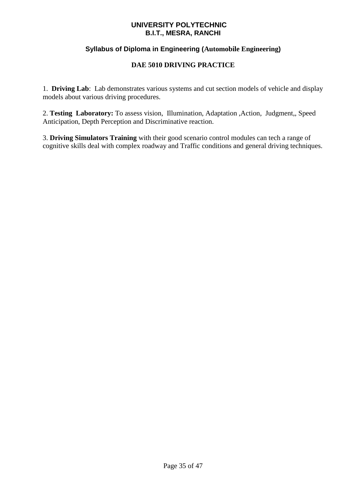# **Syllabus of Diploma in Engineering (Automobile Engineering)**

# **DAE 5010 DRIVING PRACTICE**

1. **Driving Lab**: Lab demonstrates various systems and cut section models of vehicle and display models about various driving procedures.

2. **Testing Laboratory:** To assess vision, Illumination, Adaptation ,Action, Judgment,, Speed Anticipation, Depth Perception and Discriminative reaction.

3. **Driving Simulators Training** with their good scenario control modules can tech a range of cognitive skills deal with complex roadway and Traffic conditions and general driving techniques.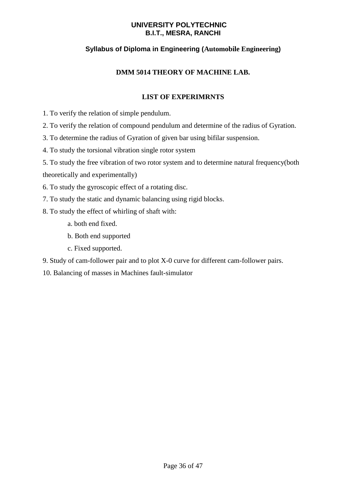# **Syllabus of Diploma in Engineering (Automobile Engineering)**

# **DMM 5014 THEORY OF MACHINE LAB.**

# **LIST OF EXPERIMRNTS**

- 1. To verify the relation of simple pendulum.
- 2. To verify the relation of compound pendulum and determine of the radius of Gyration.
- 3. To determine the radius of Gyration of given bar using bifilar suspension.
- 4. To study the torsional vibration single rotor system
- 5. To study the free vibration of two rotor system and to determine natural frequency(both

theoretically and experimentally)

- 6. To study the gyroscopic effect of a rotating disc.
- 7. To study the static and dynamic balancing using rigid blocks.
- 8. To study the effect of whirling of shaft with:
	- a. both end fixed.
	- b. Both end supported
	- c. Fixed supported.
- 9. Study of cam-follower pair and to plot X-0 curve for different cam-follower pairs.
- 10. Balancing of masses in Machines fault-simulator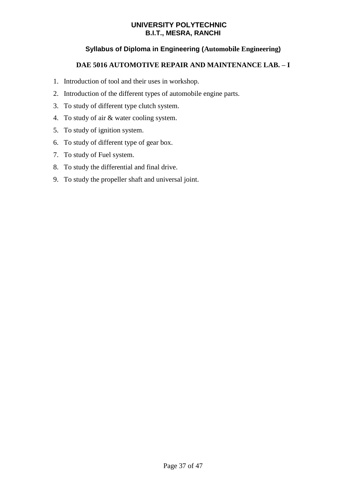# **Syllabus of Diploma in Engineering (Automobile Engineering)**

# **DAE 5016 AUTOMOTIVE REPAIR AND MAINTENANCE LAB. – I**

- 1. Introduction of tool and their uses in workshop.
- 2. Introduction of the different types of automobile engine parts.
- 3. To study of different type clutch system.
- 4. To study of air & water cooling system.
- 5. To study of ignition system.
- 6. To study of different type of gear box.
- 7. To study of Fuel system.
- 8. To study the differential and final drive.
- 9. To study the propeller shaft and universal joint.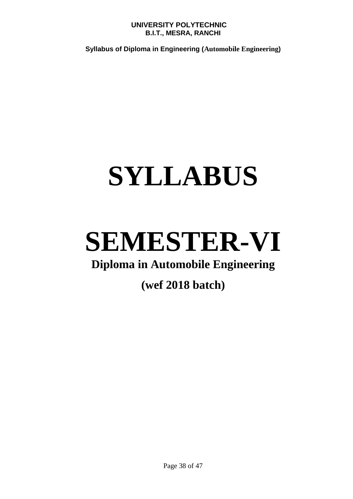**Syllabus of Diploma in Engineering (Automobile Engineering)** 

# **SYLLABUS**

# **SEMESTER-VI**

# **Diploma in Automobile Engineering**

# **(wef 2018 batch)**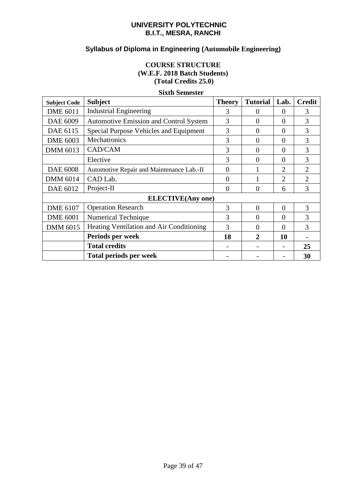# **Syllabus of Diploma in Engineering (Automobile Engineering)**

# **COURSE STRUCTURE (W.E.F. 2018 Batch Students) (Total Credits 25.0)**

| <b>Subject Code</b> | <b>Subject</b>                            | <b>Theory</b>  | <b>Tutorial</b> | Lab.           | <b>Credit</b>               |
|---------------------|-------------------------------------------|----------------|-----------------|----------------|-----------------------------|
| <b>DME 6011</b>     | <b>Industrial Engineering</b>             | 3              | $\Omega$        | $\Omega$       | 3                           |
| DAE 6009            | Automotive Emission and Control System    | 3              | $\theta$        | $\theta$       | 3                           |
| DAE 6115            | Special Purpose Vehicles and Equipment    | 3              | $\Omega$        | $\Omega$       | 3                           |
| <b>DME 6003</b>     | Mechatronics                              | 3              | $\Omega$        | $\Omega$       | 3                           |
| DMM 6013            | CAD/CAM                                   | 3              | $\Omega$        | $\Omega$       | 3                           |
|                     | Elective                                  | 3              | 0               | $\Omega$       | 3                           |
| <b>DAE 6008</b>     | Automotive Repair and Maintenance Lab.-II | $\overline{0}$ |                 | $\overline{2}$ | $\mathcal{D}_{\mathcal{L}}$ |
| <b>DMM 6014</b>     | CAD Lab.                                  | $\overline{0}$ |                 | $\overline{2}$ | $\overline{2}$              |
| DAE 6012            | Project-II                                | $\theta$       | $\Omega$        | 6              | 3                           |
|                     | <b>ELECTIVE</b> (Any one)                 |                |                 |                |                             |
| <b>DME 6107</b>     | <b>Operation Research</b>                 | 3              | $\Omega$        | $\theta$       | 3                           |
| <b>DME 6001</b>     | Numerical Technique                       | 3              | $\overline{0}$  | $\Omega$       | 3                           |
| <b>DMM 6015</b>     | Heating Ventilation and Air Conditioning  | 3              | $\theta$        | $\Omega$       | 3                           |
|                     | Periods per week                          | 18             | 2               | 10             |                             |
|                     | <b>Total credits</b>                      |                |                 |                | 25                          |
|                     | <b>Total periods per week</b>             |                |                 |                | 30                          |

### **Sixth Semester**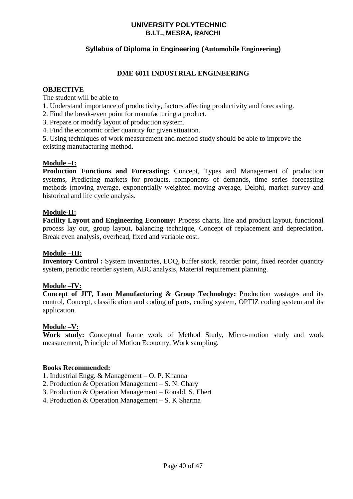# **Syllabus of Diploma in Engineering (Automobile Engineering)**

# **DME 6011 INDUSTRIAL ENGINEERING**

### **OBJECTIVE**

The student will be able to

- 1. Understand importance of productivity, factors affecting productivity and forecasting.
- 2. Find the break-even point for manufacturing a product.
- 3. Prepare or modify layout of production system.
- 4. Find the economic order quantity for given situation.

5. Using techniques of work measurement and method study should be able to improve the existing manufacturing method.

### **Module –I:**

**Production Functions and Forecasting:** Concept, Types and Management of production systems, Predicting markets for products, components of demands, time series forecasting methods (moving average, exponentially weighted moving average, Delphi, market survey and historical and life cycle analysis.

### **Module-II:**

**Facility Layout and Engineering Economy:** Process charts, line and product layout, functional process lay out, group layout, balancing technique, Concept of replacement and depreciation, Break even analysis, overhead, fixed and variable cost.

# **Module –III:**

**Inventory Control :** System inventories, EOQ, buffer stock, reorder point, fixed reorder quantity system, periodic reorder system, ABC analysis, Material requirement planning.

# **Module –IV:**

**Concept of JIT, Lean Manufacturing & Group Technology:** Production wastages and its control, Concept, classification and coding of parts, coding system, OPTIZ coding system and its application.

# **Module –V:**

**Work study:** Conceptual frame work of Method Study, Micro-motion study and work measurement, Principle of Motion Economy, Work sampling.

### **Books Recommended:**

- 1. Industrial Engg. & Management O. P. Khanna
- 2. Production & Operation Management S. N. Chary
- 3. Production & Operation Management Ronald, S. Ebert
- 4. Production & Operation Management S. K Sharma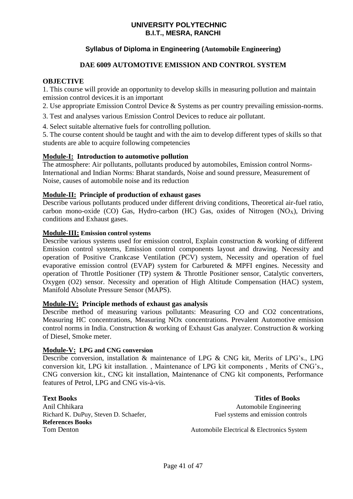# **Syllabus of Diploma in Engineering (Automobile Engineering)**

# **DAE 6009 AUTOMOTIVE EMISSION AND CONTROL SYSTEM**

# **OBJECTIVE**

1. This course will provide an opportunity to develop skills in measuring pollution and maintain emission control devices.it is an important

2. Use appropriate Emission Control Device & Systems as per country prevailing emission-norms.

3. Test and analyses various Emission Control Devices to reduce air pollutant.

4. Select suitable alternative fuels for controlling pollution.

5. The course content should be taught and with the aim to develop different types of skills so that students are able to acquire following competencies

### **Module-I: Introduction to automotive pollution**

The atmosphere: Air pollutants, pollutants produced by automobiles, Emission control Norms-International and Indian Norms: Bharat standards, Noise and sound pressure, Measurement of Noise, causes of automobile noise and its reduction

### **Module-II: Principle of production of exhaust gases**

Describe various pollutants produced under different driving conditions, Theoretical air-fuel ratio, carbon mono-oxide (CO) Gas, Hydro-carbon (HC) Gas, oxides of Nitrogen (NO<sub>x</sub>), Driving conditions and Exhaust gases.

### **Module-III: Emission control systems**

Describe various systems used for emission control, Explain construction & working of different Emission control systems, Emission control components layout and drawing. Necessity and operation of Positive Crankcase Ventilation (PCV) system, Necessity and operation of fuel evaporative emission control (EVAP) system for Carbureted & MPFI engines. Necessity and operation of Throttle Positioner (TP) system & Throttle Positioner sensor, Catalytic converters, Oxygen (O2) sensor. Necessity and operation of High Altitude Compensation (HAC) system, Manifold Absolute Pressure Sensor (MAPS).

### **Module-IV: Principle methods of exhaust gas analysis**

Describe method of measuring various pollutants: Measuring CO and CO2 concentrations, Measuring HC concentrations, Measuring NOx concentrations. Prevalent Automotive emission control norms in India. Construction & working of Exhaust Gas analyzer. Construction & working of Diesel, Smoke meter.

### **Module-V: LPG and CNG conversion**

Describe conversion, installation & maintenance of LPG & CNG kit, Merits of LPG's., LPG conversion kit, LPG kit installation. , Maintenance of LPG kit components , Merits of CNG's., CNG conversion kit., CNG kit installation, Maintenance of CNG kit components, Performance features of Petrol, LPG and CNG vis-à-vis.

**Text Books Titles of Books** Anil Chhikara **Automobile Engineering** Automobile Engineering Richard K. DuPuy, Steven D. Schaefer, Fuel systems and emission controls **References Books**

Tom Denton **Automobile Electrical & Electronics System**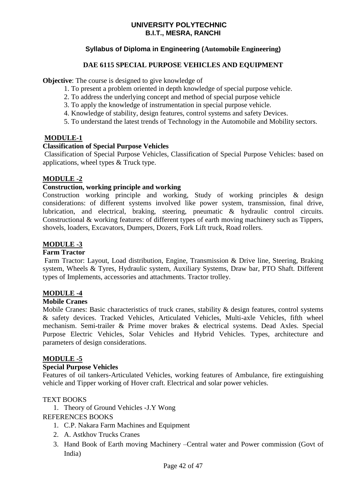# **Syllabus of Diploma in Engineering (Automobile Engineering)**

# **DAE 6115 SPECIAL PURPOSE VEHICLES AND EQUIPMENT**

**Objective:** The course is designed to give knowledge of

- 1. To present a problem oriented in depth knowledge of special purpose vehicle.
- 2. To address the underlying concept and method of special purpose vehicle
- 3. To apply the knowledge of instrumentation in special purpose vehicle.
- 4. Knowledge of stability, design features, control systems and safety Devices.
- 5. To understand the latest trends of Technology in the Automobile and Mobility sectors.

### **MODULE-1**

# **Classification of Special Purpose Vehicles**

Classification of Special Purpose Vehicles, Classification of Special Purpose Vehicles: based on applications, wheel types & Truck type.

# **MODULE -2**

### **Construction, working principle and working**

Construction working principle and working, Study of working principles & design considerations: of different systems involved like power system, transmission, final drive, lubrication, and electrical, braking, steering, pneumatic & hydraulic control circuits. Constructional & working features: of different types of earth moving machinery such as Tippers, shovels, loaders, Excavators, Dumpers, Dozers, Fork Lift truck, Road rollers.

# **MODULE -3**

### **Farm Tractor**

Farm Tractor: Layout, Load distribution, Engine, Transmission & Drive line, Steering, Braking system, Wheels & Tyres, Hydraulic system, Auxiliary Systems, Draw bar, PTO Shaft. Different types of Implements, accessories and attachments. Tractor trolley.

# **MODULE -4**

### **Mobile Cranes**

Mobile Cranes: Basic characteristics of truck cranes, stability & design features, control systems & safety devices. Tracked Vehicles, Articulated Vehicles, Multi-axle Vehicles, fifth wheel mechanism. Semi-trailer & Prime mover brakes & electrical systems. Dead Axles. Special Purpose Electric Vehicles, Solar Vehicles and Hybrid Vehicles. Types, architecture and parameters of design considerations.

### **MODULE -5**

### **Special Purpose Vehicles**

Features of oil tankers-Articulated Vehicles, working features of Ambulance, fire extinguishing vehicle and Tipper working of Hover craft. Electrical and solar power vehicles.

### TEXT BOOKS

1. Theory of Ground Vehicles -J.Y Wong

### REFERENCES BOOKS

- 1. C.P. Nakara Farm Machines and Equipment
- 2. A. Astkhov Trucks Cranes
- 3. Hand Book of Earth moving Machinery –Central water and Power commission (Govt of India)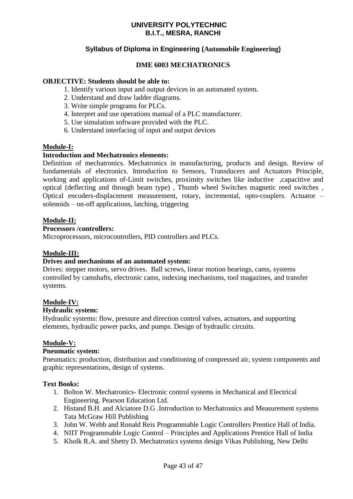# **Syllabus of Diploma in Engineering (Automobile Engineering)**

### **DME 6003 MECHATRONICS**

### **OBJECTIVE: Students should be able to:**

- 1. Identify various input and output devices in an automated system.
- 2. Understand and draw ladder diagrams.
- 3. Write simple programs for PLCs.
- 4. Interpret and use operations manual of a PLC manufacturer.
- 5. Use simulation software provided with the PLC.
- 6. Understand interfacing of input and output devices

### **Module-I:**

### **Introduction and Mechatronics elements:**

Definition of mechatronics. Mechatronics in manufacturing, products and design. Review of fundamentals of electronics. Introduction to Sensors, Transducers and Actuators Principle, working and applications of-Limit switches, proximity switches like inductive ,capacitive and optical (deflecting and through beam type) , Thumb wheel Switches magnetic reed switches , Optical encoders-displacement measurement, rotary, incremental, opto-couplers. Actuator – solenoids – on-off applications, latching, triggering

### **Module-II:**

#### **Processors /controllers:**

Microprocessors, microcontrollers, PID controllers and PLCs.

### **Module-III:**

#### **Drives and mechanisms of an automated system:**

Drives: stepper motors, servo drives. Ball screws, linear motion bearings, cams, systems controlled by camshafts, electronic cams, indexing mechanisms, tool magazines, and transfer systems.

#### **Module-IV:**

#### **Hydraulic system:**

Hydraulic systems: flow, pressure and direction control valves, actuators, and supporting elements, hydraulic power packs, and pumps. Design of hydraulic circuits.

### **Module-V:**

### **Pneumatic system:**

Pneumatics: production, distribution and conditioning of compressed air, system components and graphic representations, design of systems.

#### **Text Books:**

- 1. Bolton W. Mechatronics- Electronic control systems in Mechanical and Electrical Engineering. Pearson Education Ltd.
- 2. Histand B.H. and Alciatore D.G .Introduction to Mechatronics and Measurement systems Tata McGraw Hill Publishing
- 3. John W. Webb and Ronald Reis Programmable Logic Controllers Prentice Hall of India.
- 4. NIIT Programmable Logic Control Principles and Applications Prentice Hall of India
- 5. Kholk R.A. and Shetty D. Mechatronics systems design Vikas Publishing, New Delhi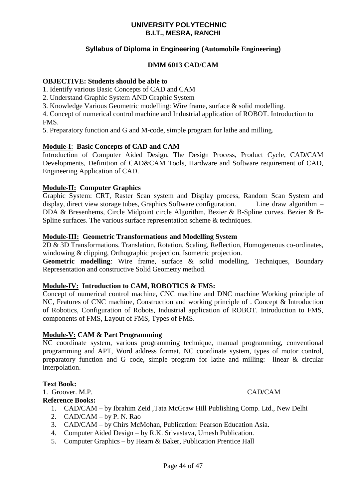# **Syllabus of Diploma in Engineering (Automobile Engineering)**

# **DMM 6013 CAD/CAM**

### **OBJECTIVE: Students should be able to**

1. Identify various Basic Concepts of CAD and CAM

2. Understand Graphic System AND Graphic System

3. Knowledge Various Geometric modelling: Wire frame, surface & solid modelling.

4. Concept of numerical control machine and Industrial application of ROBOT. Introduction to FMS.

5. Preparatory function and G and M-code, simple program for lathe and milling.

### **Module-I**: **Basic Concepts of CAD and CAM**

Introduction of Computer Aided Design, The Design Process, Product Cycle, CAD/CAM Developments, Definition of CAD&CAM Tools, Hardware and Software requirement of CAD, Engineering Application of CAD.

### **Module-II: Computer Graphics**

Graphic System: CRT, Raster Scan system and Display process, Random Scan System and display, direct view storage tubes, Graphics Software configuration. Line draw algorithm – DDA & Bresenhems, Circle Midpoint circle Algorithm, Bezier & B-Spline curves. Bezier & B-Spline surfaces. The various surface representation scheme & techniques.

### **Module-III: Geometric Transformations and Modelling System**

2D & 3D Transformations. Translation, Rotation, Scaling, Reflection, Homogeneous co-ordinates, windowing & clipping, Orthographic projection, Isometric projection.

**Geometric modelling**: Wire frame, surface & solid modelling. Techniques, Boundary Representation and constructive Solid Geometry method.

### **Module-IV: Introduction to CAM, ROBOTICS & FMS:**

Concept of numerical control machine, CNC machine and DNC machine Working principle of NC, Features of CNC machine, Construction and working principle of . Concept & Introduction of Robotics, Configuration of Robots, Industrial application of ROBOT. Introduction to FMS, components of FMS, Layout of FMS, Types of FMS.

### **Module-V: CAM & Part Programming**

NC coordinate system, various programming technique, manual programming, conventional programming and APT, Word address format, NC coordinate system, types of motor control, preparatory function and G code, simple program for lathe and milling: linear & circular interpolation.

#### **Text Book:**

1. Groover. M.P. CAD/CAM

### **Reference Books:**

- 1. CAD/CAM by Ibrahim Zeid ,Tata McGraw Hill Publishing Comp. Ltd., New Delhi
- 2. CAD/CAM by P. N. Rao
- 3. CAD/CAM by Chirs McMohan, Publication: Pearson Education Asia.
- 4. Computer Aided Design by R.K. Srivastava, Umesh Publication.
- 5. Computer Graphics by Hearn & Baker, Publication Prentice Hall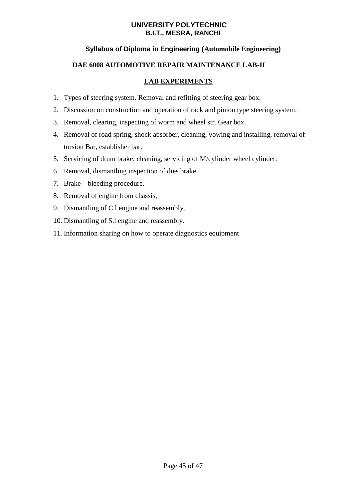# **Syllabus of Diploma in Engineering (Automobile Engineering)**

# **DAE 6008 AUTOMOTIVE REPAIR MAINTENANCE LAB-II**

# **LAB EXPERIMENTS**

- 1. Types of steering system. Removal and refitting of steering gear box.
- 2. Discussion on construction and operation of rack and pinion type steering system.
- 3. Removal, clearing, inspecting of worm and wheel str. Gear box.
- 4. Removal of road spring, shock absorber, cleaning, vowing and installing, removal of torsion Bar, establisher bar.
- 5. Servicing of drum brake, cleaning, servicing of M/cylinder wheel cylinder.
- 6. Removal, dismantling inspection of dies brake.
- 7. Brake bleeding procedure.
- 8. Removal of engine from chassis,
- 9. Dismantling of C.l engine and reassembly.
- 10. Dismantling of S.l engine and reassembly.
- 11. Information sharing on how to operate diagnostics equipment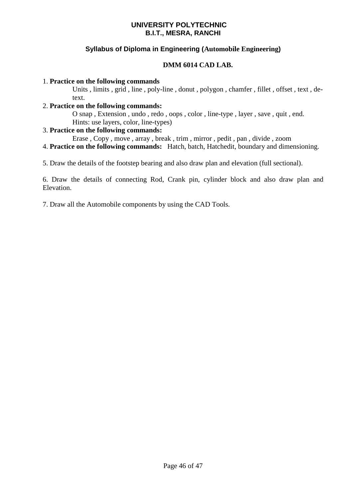# **Syllabus of Diploma in Engineering (Automobile Engineering)**

# **DMM 6014 CAD LAB.**

### 1. **Practice on the following commands**

Units , limits , grid , line , poly-line , donut , polygon , chamfer , fillet , offset , text , detext.

### 2. **Practice on the following commands:**

O snap , Extension , undo , redo , oops , color , line-type , layer , save , quit , end. Hints: use layers, color, line-types)

### 3. **Practice on the following commands:**

Erase , Copy , move , array , break , trim , mirror , pedit , pan , divide , zoom

4. **Practice on the following commands:** Hatch, batch, Hatchedit, boundary and dimensioning.

5. Draw the details of the footstep bearing and also draw plan and elevation (full sectional).

6. Draw the details of connecting Rod, Crank pin, cylinder block and also draw plan and Elevation.

7. Draw all the Automobile components by using the CAD Tools.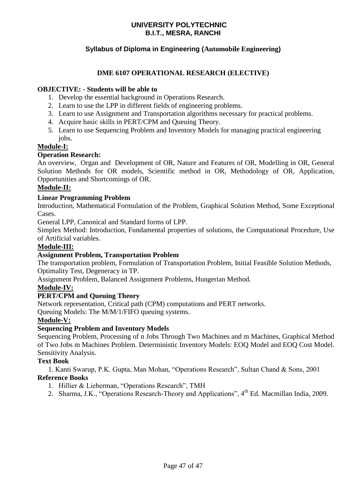# **Syllabus of Diploma in Engineering (Automobile Engineering)**

# **DME 6107 OPERATIONAL RESEARCH (ELECTIVE)**

# **OBJECTIVE: - Students will be able to**

- 1. Develop the essential background in Operations Research.
- 2. Learn to use the LPP in different fields of engineering problems.
- 3. Learn to use Assignment and Transportation algorithms necessary for practical problems.
- 4. Acquire basic skills in PERT/CPM and Queuing Theory.
- 5. Learn to use Sequencing Problem and Inventory Models for managing practical engineering jobs.

# **Module-I:**

### **Operation Research:**

An overview, Organ and Development of OR, Nature and Features of OR, Modelling in OR, General Solution Methods for OR models, Scientific method in OR, Methodology of OR, Application, Opportunities and Shortcomings of OR.

### **Module-II:**

### **Linear Programming Problem**

Introduction, Mathematical Formulation of the Problem, Graphical Solution Method, Some Exceptional **Cases** 

General LPP, Canonical and Standard forms of LPP.

Simplex Method: Introduction, Fundamental properties of solutions, the Computational Procedure, Use of Artificial variables.

# **Module-III:**

# **Assignment Problem, Transportation Problem**

The transportation problem, Formulation of Transportation Problem, Initial Feasible Solution Methods, Optimality Test, Degeneracy in TP.

Assignment Problem, Balanced Assignment Problems, Hungerian Method.

# **Module-IV:**

# **PERT/CPM and Queuing Theory**

Network representation, Critical path (CPM) computations and PERT networks.

Queuing Models: The M/M/1/FIFO queuing systems.

# **Module-V:**

# **Sequencing Problem and Inventory Models**

Sequencing Problem, Processing of n Jobs Through Two Machines and m Machines, Graphical Method of Two Jobs m Machines Problem. Deterministic Inventory Models: EOQ Model and EOQ Cost Model. Sensitivity Analysis.

# **Text Book**

 1. Kanti Swarup, P.K. Gupta, Man Mohan, "Operations Research", Sultan Chand & Sons, 2001 **Reference Books**

- 1. Hillier & Lieberman, "Operations Research", TMH
- 2. Sharma, J.K., "Operations Research-Theory and Applications", 4<sup>th</sup> Ed. Macmillan India, 2009.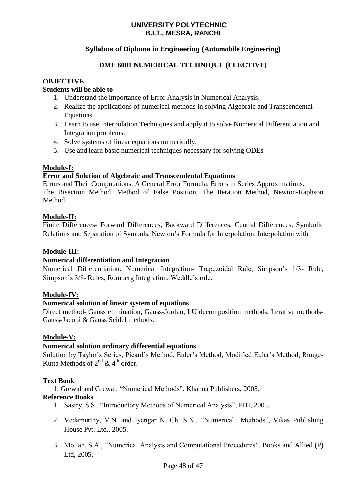# **Syllabus of Diploma in Engineering (Automobile Engineering)**

# **DME 6001 NUMERICAL TECHNIQUE (ELECTIVE)**

# **OBJECTIVE**

### **Students will be able to**

- 1. Understand the importance of Error Analysis in Numerical Analysis.
- 2. Realize the applications of numerical methods in solving Algebraic and Transcendental Equations.
- 3. Learn to use Interpolation Techniques and apply it to solve Numerical Differentiation and Integration problems.
- 4. Solve systems of linear equations numerically.
- 5. Use and learn basic numerical techniques necessary for solving ODEs

### **Module-I:**

### **Error and Solution of Algebraic and Transcendental Equations**

Errors and Their Computations, A General Error Formula, Errors in Series Approximations. The Bisection Method, Method of False Position, The Iteration Method, Newton-Raphson Method.

### **Module-II:**

Finite Differences- Forward Differences, Backward Differences, Central Differences, Symbolic Relations and Separation of Symbols, Newton's Formula for Interpolation. Interpolation with

### **Module-III:**

# **Numerical differentiation and Integration**

Numerical Differentiation. Numerical Integration- Trapezoidal Rule, Simpson's 1/3- Rule, Simpson's 3/8- Rules, Romberg Integration, Weddle's rule.

### **Module-IV:**

# **Numerical solution of linear system of equations**

Direct\_method- Gauss elimination, Gauss-Jordan, LU decomposition methods. Iterative\_methods-Gauss-Jacobi & Gauss Seidel methods.

### **Module-V:**

# **Numerical solution ordinary differential equations**

Solution by Taylor's Series, Picard's Method, Euler's Method, Modified Euler's Method, Runge-Kutta Methods of  $2^{nd}$  & 4<sup>th</sup> order.

### **Text Book**

1. Grewal and Grewal, "Numerical Methods", Khanna Publishers, 2005.

# **Reference Books**

- 1. Sastry, S.S., "Introductory Methods of Numerical Analysis", PHI, 2005.
- 2. Vedamurthy, V.N. and Iyengar N. Ch. S.N., "Numerical Methods", Vikas Publishing House Pvt. Ltd., 2005.
- 3. Mollah, S.A., "Numerical Analysis and Computational Procedures". Books and Allied (P) Ltd, 2005.